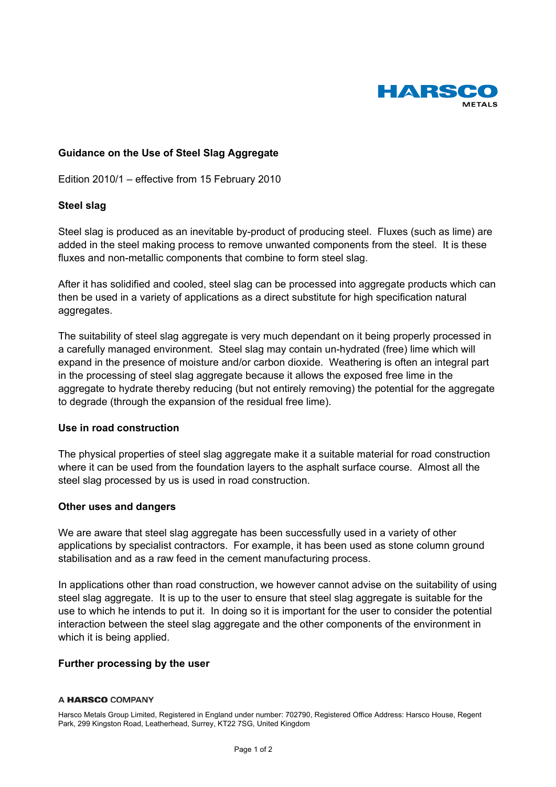

# **Guidance on the Use of Steel Slag Aggregate**

Edition 2010/1 – effective from 15 February 2010

## **Steel slag**

Steel slag is produced as an inevitable by-product of producing steel. Fluxes (such as lime) are added in the steel making process to remove unwanted components from the steel. It is these fluxes and non-metallic components that combine to form steel slag.

After it has solidified and cooled, steel slag can be processed into aggregate products which can then be used in a variety of applications as a direct substitute for high specification natural aggregates.

The suitability of steel slag aggregate is very much dependant on it being properly processed in a carefully managed environment. Steel slag may contain un-hydrated (free) lime which will expand in the presence of moisture and/or carbon dioxide. Weathering is often an integral part in the processing of steel slag aggregate because it allows the exposed free lime in the aggregate to hydrate thereby reducing (but not entirely removing) the potential for the aggregate to degrade (through the expansion of the residual free lime).

## **Use in road construction**

The physical properties of steel slag aggregate make it a suitable material for road construction where it can be used from the foundation layers to the asphalt surface course. Almost all the steel slag processed by us is used in road construction.

## **Other uses and dangers**

We are aware that steel slag aggregate has been successfully used in a variety of other applications by specialist contractors. For example, it has been used as stone column ground stabilisation and as a raw feed in the cement manufacturing process.

In applications other than road construction, we however cannot advise on the suitability of using steel slag aggregate. It is up to the user to ensure that steel slag aggregate is suitable for the use to which he intends to put it. In doing so it is important for the user to consider the potential interaction between the steel slag aggregate and the other components of the environment in which it is being applied.

## **Further processing by the user**

#### A HARSCO COMPANY

Harsco Metals Group Limited, Registered in England under number: 702790, Registered Office Address: Harsco House, Regent Park, 299 Kingston Road, Leatherhead, Surrey, KT22 7SG, United Kingdom